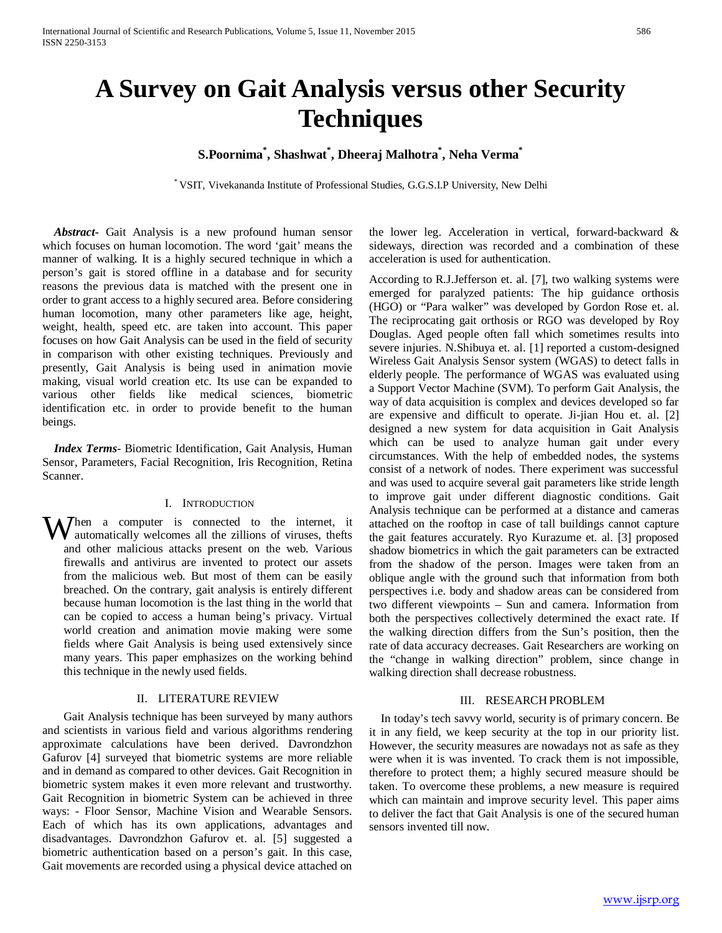# **A Survey on Gait Analysis versus other Security Techniques**

## **S.Poornima\* , Shashwat\* , Dheeraj Malhotra\* , Neha Verma\***

\* VSIT, Vivekananda Institute of Professional Studies, G.G.S.I.P University, New Delhi

 *Abstract***-** Gait Analysis is a new profound human sensor which focuses on human locomotion. The word 'gait' means the manner of walking. It is a highly secured technique in which a person's gait is stored offline in a database and for security reasons the previous data is matched with the present one in order to grant access to a highly secured area. Before considering human locomotion, many other parameters like age, height, weight, health, speed etc. are taken into account. This paper focuses on how Gait Analysis can be used in the field of security in comparison with other existing techniques. Previously and presently, Gait Analysis is being used in animation movie making, visual world creation etc. Its use can be expanded to various other fields like medical sciences, biometric identification etc. in order to provide benefit to the human beings.

 *Index Terms*- Biometric Identification, Gait Analysis, Human Sensor, Parameters, Facial Recognition, Iris Recognition, Retina Scanner.

#### I. INTRODUCTION

When a computer is connected to the internet, it automatically welcomes all the zillions of viruses, thefts automatically welcomes all the zillions of viruses, thefts and other malicious attacks present on the web. Various firewalls and antivirus are invented to protect our assets from the malicious web. But most of them can be easily breached. On the contrary, gait analysis is entirely different because human locomotion is the last thing in the world that can be copied to access a human being's privacy. Virtual world creation and animation movie making were some fields where Gait Analysis is being used extensively since many years. This paper emphasizes on the working behind this technique in the newly used fields.

#### II. LITERATURE REVIEW

Gait Analysis technique has been surveyed by many authors and scientists in various field and various algorithms rendering approximate calculations have been derived. Davrondzhon Gafurov [4] surveyed that biometric systems are more reliable and in demand as compared to other devices. Gait Recognition in biometric system makes it even more relevant and trustworthy. Gait Recognition in biometric System can be achieved in three ways: - Floor Sensor, Machine Vision and Wearable Sensors. Each of which has its own applications, advantages and disadvantages. Davrondzhon Gafurov et. al. [5] suggested a biometric authentication based on a person's gait. In this case, Gait movements are recorded using a physical device attached on the lower leg. Acceleration in vertical, forward-backward & sideways, direction was recorded and a combination of these acceleration is used for authentication.

According to R.J.Jefferson et. al. [7], two walking systems were emerged for paralyzed patients: The hip guidance orthosis (HGO) or "Para walker" was developed by Gordon Rose et. al. The reciprocating gait orthosis or RGO was developed by Roy Douglas. Aged people often fall which sometimes results into severe injuries. N.Shibuya et. al. [1] reported a custom-designed Wireless Gait Analysis Sensor system (WGAS) to detect falls in elderly people. The performance of WGAS was evaluated using a Support Vector Machine (SVM). To perform Gait Analysis, the way of data acquisition is complex and devices developed so far are expensive and difficult to operate. Ji-jian Hou et. al. [2] designed a new system for data acquisition in Gait Analysis which can be used to analyze human gait under every circumstances. With the help of embedded nodes, the systems consist of a network of nodes. There experiment was successful and was used to acquire several gait parameters like stride length to improve gait under different diagnostic conditions. Gait Analysis technique can be performed at a distance and cameras attached on the rooftop in case of tall buildings cannot capture the gait features accurately. Ryo Kurazume et. al. [3] proposed shadow biometrics in which the gait parameters can be extracted from the shadow of the person. Images were taken from an oblique angle with the ground such that information from both perspectives i.e. body and shadow areas can be considered from two different viewpoints – Sun and camera. Information from both the perspectives collectively determined the exact rate. If the walking direction differs from the Sun's position, then the rate of data accuracy decreases. Gait Researchers are working on the "change in walking direction" problem, since change in walking direction shall decrease robustness.

#### III. RESEARCH PROBLEM

 In today's tech savvy world, security is of primary concern. Be it in any field, we keep security at the top in our priority list. However, the security measures are nowadays not as safe as they were when it is was invented. To crack them is not impossible, therefore to protect them; a highly secured measure should be taken. To overcome these problems, a new measure is required which can maintain and improve security level. This paper aims to deliver the fact that Gait Analysis is one of the secured human sensors invented till now.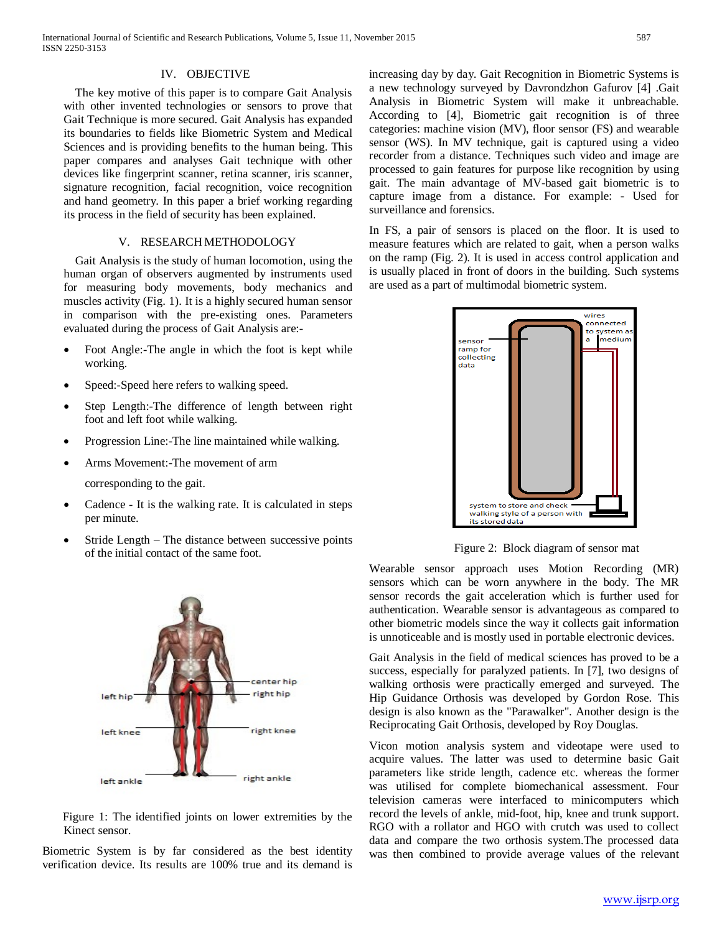#### IV. OBJECTIVE

 The key motive of this paper is to compare Gait Analysis with other invented technologies or sensors to prove that Gait Technique is more secured. Gait Analysis has expanded its boundaries to fields like Biometric System and Medical Sciences and is providing benefits to the human being. This paper compares and analyses Gait technique with other devices like fingerprint scanner, retina scanner, iris scanner, signature recognition, facial recognition, voice recognition and hand geometry. In this paper a brief working regarding its process in the field of security has been explained.

#### V. RESEARCH METHODOLOGY

 Gait Analysis is the study of human locomotion, using the human organ of observers augmented by instruments used for measuring body movements, body mechanics and muscles activity (Fig. 1). It is a highly secured human sensor in comparison with the pre-existing ones. Parameters evaluated during the process of Gait Analysis are:-

- Foot Angle:-The angle in which the foot is kept while working.
- Speed:-Speed here refers to walking speed.
- Step Length:-The difference of length between right foot and left foot while walking.
- Progression Line:-The line maintained while walking.
- Arms Movement:-The movement of arm
	- corresponding to the gait.
- Cadence It is the walking rate. It is calculated in steps per minute.
- Stride Length The distance between successive points of the initial contact of the same foot.



 Figure 1: The identified joints on lower extremities by the Kinect sensor.

Biometric System is by far considered as the best identity verification device. Its results are 100% true and its demand is increasing day by day. Gait Recognition in Biometric Systems is a new technology surveyed by Davrondzhon Gafurov [4] .Gait Analysis in Biometric System will make it unbreachable. According to [4], Biometric gait recognition is of three categories: machine vision (MV), floor sensor (FS) and wearable sensor (WS). In MV technique, gait is captured using a video recorder from a distance. Techniques such video and image are processed to gain features for purpose like recognition by using gait. The main advantage of MV-based gait biometric is to capture image from a distance. For example: - Used for surveillance and forensics.

In FS, a pair of sensors is placed on the floor. It is used to measure features which are related to gait, when a person walks on the ramp (Fig. 2). It is used in access control application and is usually placed in front of doors in the building. Such systems are used as a part of multimodal biometric system.



Figure 2: Block diagram of sensor mat

Wearable sensor approach uses Motion Recording (MR) sensors which can be worn anywhere in the body. The MR sensor records the gait acceleration which is further used for authentication. Wearable sensor is advantageous as compared to other biometric models since the way it collects gait information is unnoticeable and is mostly used in portable electronic devices.

Gait Analysis in the field of medical sciences has proved to be a success, especially for paralyzed patients. In [7], two designs of walking orthosis were practically emerged and surveyed. The Hip Guidance Orthosis was developed by Gordon Rose. This design is also known as the "Parawalker". Another design is the Reciprocating Gait Orthosis, developed by Roy Douglas.

Vicon motion analysis system and videotape were used to acquire values. The latter was used to determine basic Gait parameters like stride length, cadence etc. whereas the former was utilised for complete biomechanical assessment. Four television cameras were interfaced to minicomputers which record the levels of ankle, mid-foot, hip, knee and trunk support. RGO with a rollator and HGO with crutch was used to collect data and compare the two orthosis system.The processed data was then combined to provide average values of the relevant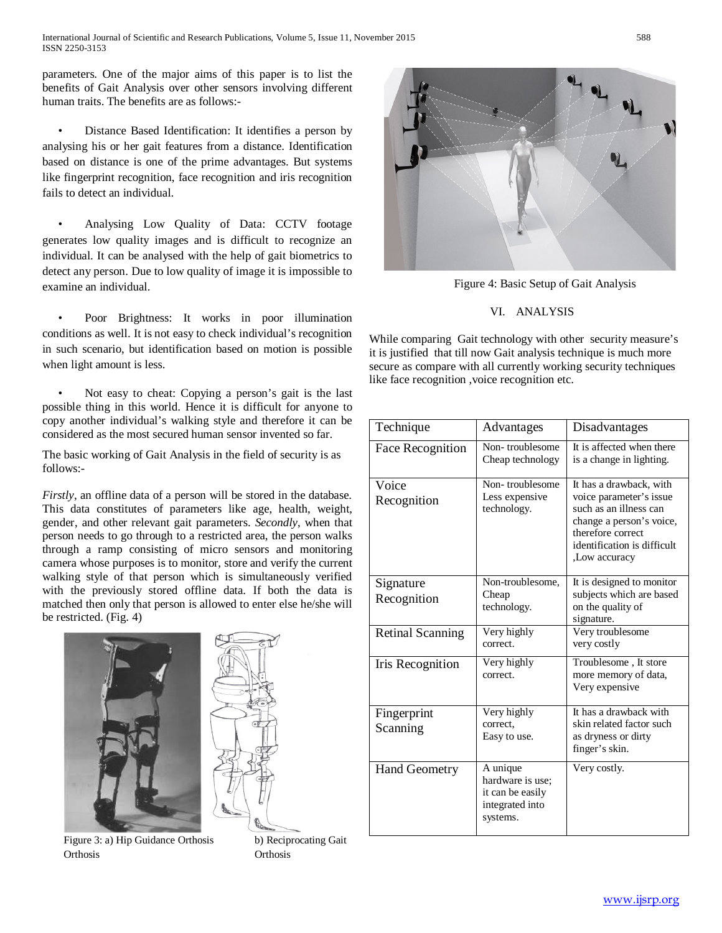parameters. One of the major aims of this paper is to list the benefits of Gait Analysis over other sensors involving different human traits. The benefits are as follows:-

• Distance Based Identification: It identifies a person by analysing his or her gait features from a distance. Identification based on distance is one of the prime advantages. But systems like fingerprint recognition, face recognition and iris recognition fails to detect an individual.

• Analysing Low Quality of Data: CCTV footage generates low quality images and is difficult to recognize an individual. It can be analysed with the help of gait biometrics to detect any person. Due to low quality of image it is impossible to examine an individual.

• Poor Brightness: It works in poor illumination conditions as well. It is not easy to check individual's recognition in such scenario, but identification based on motion is possible when light amount is less.

• Not easy to cheat: Copying a person's gait is the last possible thing in this world. Hence it is difficult for anyone to copy another individual's walking style and therefore it can be considered as the most secured human sensor invented so far.

The basic working of Gait Analysis in the field of security is as follows:-

*Firstly*, an offline data of a person will be stored in the database. This data constitutes of parameters like age, health, weight, gender, and other relevant gait parameters. *Secondly*, when that person needs to go through to a restricted area, the person walks through a ramp consisting of micro sensors and monitoring camera whose purposes is to monitor, store and verify the current walking style of that person which is simultaneously verified with the previously stored offline data. If both the data is matched then only that person is allowed to enter else he/she will be restricted. (Fig. 4)





Figure 3: a) Hip Guidance Orthosis b) Reciprocating Gait Orthosis Orthosis



Figure 4: Basic Setup of Gait Analysis

### VI. ANALYSIS

While comparing Gait technology with other security measure's it is justified that till now Gait analysis technique is much more secure as compare with all currently working security techniques like face recognition ,voice recognition etc.

| Technique                | Advantages                                                                      | Disadvantages                                                                                                                                                                |
|--------------------------|---------------------------------------------------------------------------------|------------------------------------------------------------------------------------------------------------------------------------------------------------------------------|
| Face Recognition         | Non-troublesome<br>Cheap technology                                             | It is affected when there<br>is a change in lighting.                                                                                                                        |
| Voice<br>Recognition     | Non-troublesome<br>Less expensive<br>technology.                                | It has a drawback, with<br>voice parameter's issue<br>such as an illness can<br>change a person's voice.<br>therefore correct<br>identification is difficult<br>Low accuracy |
| Signature<br>Recognition | Non-troublesome,<br>Cheap<br>technology.                                        | It is designed to monitor<br>subjects which are based<br>on the quality of<br>signature.                                                                                     |
| <b>Retinal Scanning</b>  | Very highly<br>correct.                                                         | Very troublesome<br>very costly                                                                                                                                              |
| Iris Recognition         | Very highly<br>correct.                                                         | Troublesome, It store<br>more memory of data,<br>Very expensive                                                                                                              |
| Fingerprint<br>Scanning  | Very highly<br>correct.<br>Easy to use.                                         | It has a drawback with<br>skin related factor such<br>as dryness or dirty<br>finger's skin.                                                                                  |
| <b>Hand Geometry</b>     | A unique<br>hardware is use:<br>it can be easily<br>integrated into<br>systems. | Very costly.                                                                                                                                                                 |